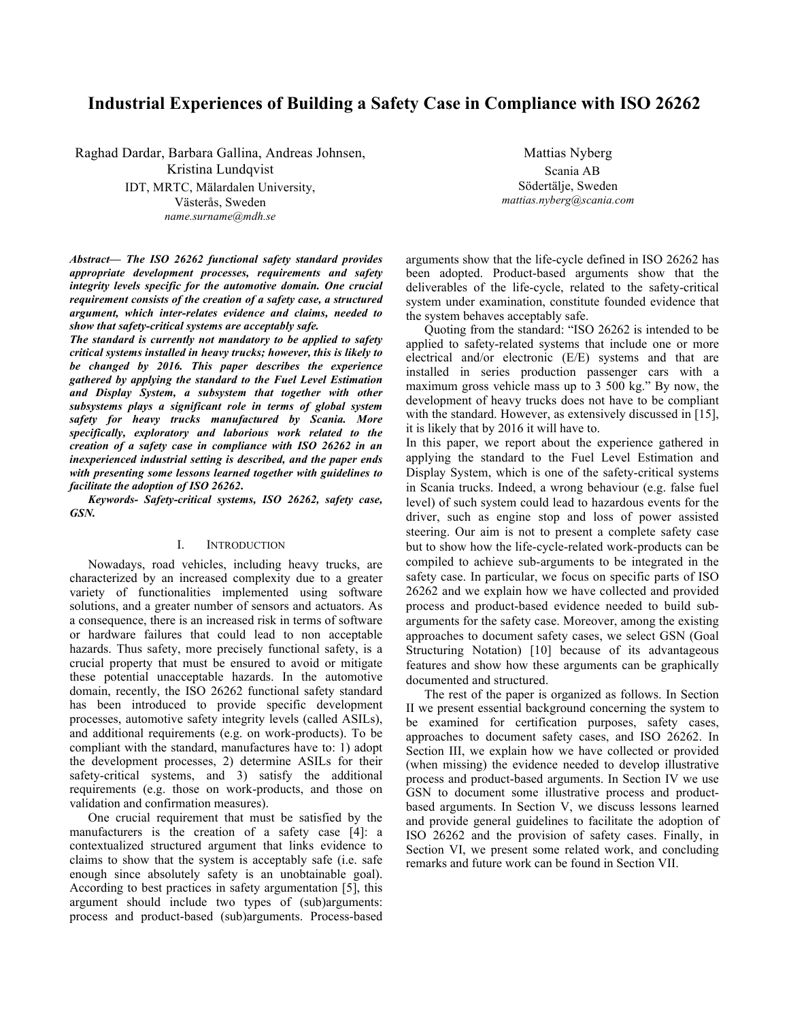# **Industrial Experiences of Building a Safety Case in Compliance with ISO 26262**

Raghad Dardar, Barbara Gallina, Andreas Johnsen, Kristina Lundqvist IDT, MRTC, Mälardalen University,

Västerås, Sweden *name.surname@mdh.se*

Mattias Nyberg Scania AB Södertälje, Sweden *mattias.nyberg@scania.com*

*Abstract***—** *The ISO 26262 functional safety standard provides appropriate development processes, requirements and safety integrity levels specific for the automotive domain. One crucial requirement consists of the creation of a safety case, a structured argument, which inter-relates evidence and claims, needed to show that safety-critical systems are acceptably safe.*

*The standard is currently not mandatory to be applied to safety critical systems installed in heavy trucks; however, this is likely to be changed by 2016. This paper describes the experience gathered by applying the standard to the Fuel Level Estimation and Display System, a subsystem that together with other subsystems plays a significant role in terms of global system safety for heavy trucks manufactured by Scania. More specifically, exploratory and laborious work related to the creation of a safety case in compliance with ISO 26262 in an inexperienced industrial setting is described, and the paper ends with presenting some lessons learned together with guidelines to facilitate the adoption of ISO 26262***.** 

*Keywords- Safety-critical systems, ISO 26262, safety case, GSN.*

# I. INTRODUCTION

Nowadays, road vehicles, including heavy trucks, are characterized by an increased complexity due to a greater variety of functionalities implemented using software solutions, and a greater number of sensors and actuators. As a consequence, there is an increased risk in terms of software or hardware failures that could lead to non acceptable hazards. Thus safety, more precisely functional safety, is a crucial property that must be ensured to avoid or mitigate these potential unacceptable hazards. In the automotive domain, recently, the ISO 26262 functional safety standard has been introduced to provide specific development processes, automotive safety integrity levels (called ASILs), and additional requirements (e.g. on work-products). To be compliant with the standard, manufactures have to: 1) adopt the development processes, 2) determine ASILs for their safety-critical systems, and 3) satisfy the additional requirements (e.g. those on work-products, and those on validation and confirmation measures).

One crucial requirement that must be satisfied by the manufacturers is the creation of a safety case [4]: a contextualized structured argument that links evidence to claims to show that the system is acceptably safe (i.e. safe enough since absolutely safety is an unobtainable goal). According to best practices in safety argumentation [5], this argument should include two types of (sub)arguments: process and product-based (sub)arguments. Process-based

arguments show that the life-cycle defined in ISO 26262 has been adopted. Product-based arguments show that the deliverables of the life-cycle, related to the safety-critical system under examination, constitute founded evidence that the system behaves acceptably safe.

Quoting from the standard: "ISO 26262 is intended to be applied to safety-related systems that include one or more electrical and/or electronic (E/E) systems and that are installed in series production passenger cars with a maximum gross vehicle mass up to 3 500 kg." By now, the development of heavy trucks does not have to be compliant with the standard. However, as extensively discussed in [15], it is likely that by 2016 it will have to.

In this paper, we report about the experience gathered in applying the standard to the Fuel Level Estimation and Display System, which is one of the safety-critical systems in Scania trucks. Indeed, a wrong behaviour (e.g. false fuel level) of such system could lead to hazardous events for the driver, such as engine stop and loss of power assisted steering. Our aim is not to present a complete safety case but to show how the life-cycle-related work-products can be compiled to achieve sub-arguments to be integrated in the safety case. In particular, we focus on specific parts of ISO 26262 and we explain how we have collected and provided process and product-based evidence needed to build subarguments for the safety case. Moreover, among the existing approaches to document safety cases, we select GSN (Goal Structuring Notation) [10] because of its advantageous features and show how these arguments can be graphically documented and structured.

The rest of the paper is organized as follows. In Section II we present essential background concerning the system to be examined for certification purposes, safety cases, approaches to document safety cases, and ISO 26262. In Section III, we explain how we have collected or provided (when missing) the evidence needed to develop illustrative process and product-based arguments. In Section IV we use GSN to document some illustrative process and productbased arguments. In Section V, we discuss lessons learned and provide general guidelines to facilitate the adoption of ISO 26262 and the provision of safety cases. Finally, in Section VI, we present some related work, and concluding remarks and future work can be found in Section VII.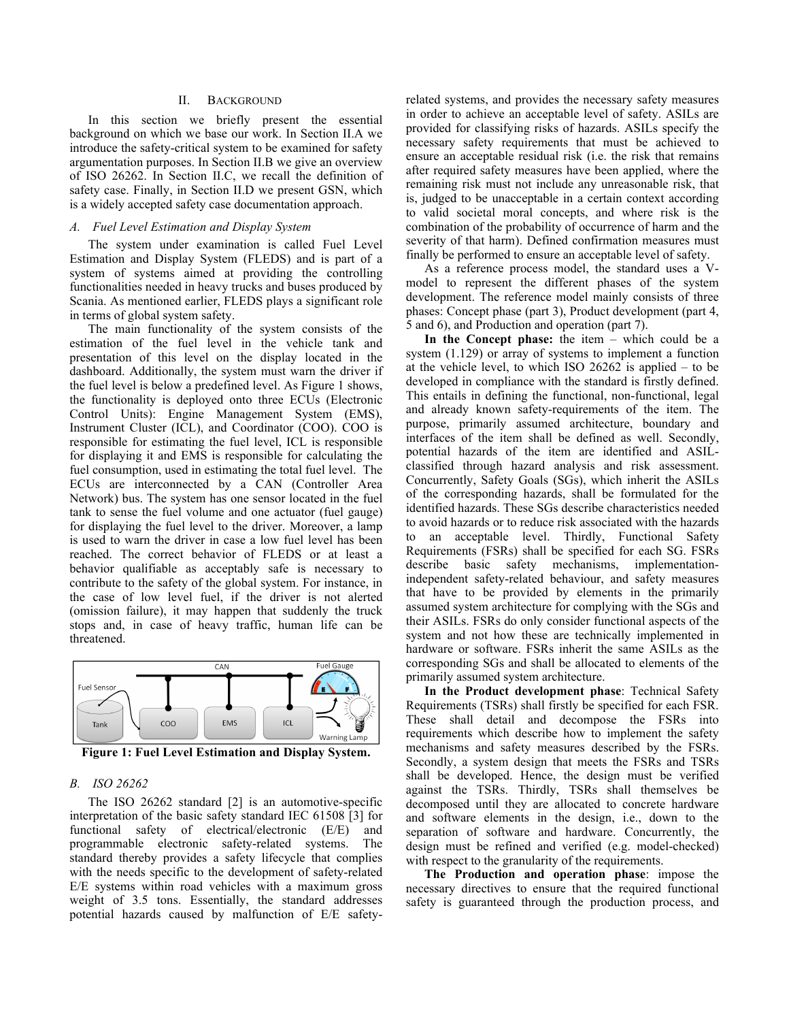## II. BACKGROUND

In this section we briefly present the essential background on which we base our work. In Section II.A we introduce the safety-critical system to be examined for safety argumentation purposes. In Section II.B we give an overview of ISO 26262. In Section II.C, we recall the definition of safety case. Finally, in Section II.D we present GSN, which is a widely accepted safety case documentation approach.

#### *A. Fuel Level Estimation and Display System*

The system under examination is called Fuel Level Estimation and Display System (FLEDS) and is part of a system of systems aimed at providing the controlling functionalities needed in heavy trucks and buses produced by Scania. As mentioned earlier, FLEDS plays a significant role in terms of global system safety.

The main functionality of the system consists of the estimation of the fuel level in the vehicle tank and presentation of this level on the display located in the dashboard. Additionally, the system must warn the driver if the fuel level is below a predefined level. As Figure 1 shows, the functionality is deployed onto three ECUs (Electronic Control Units): Engine Management System (EMS), Instrument Cluster (ICL), and Coordinator (COO). COO is responsible for estimating the fuel level, ICL is responsible for displaying it and EMS is responsible for calculating the fuel consumption, used in estimating the total fuel level. The ECUs are interconnected by a CAN (Controller Area Network) bus. The system has one sensor located in the fuel tank to sense the fuel volume and one actuator (fuel gauge) for displaying the fuel level to the driver. Moreover, a lamp is used to warn the driver in case a low fuel level has been reached. The correct behavior of FLEDS or at least a behavior qualifiable as acceptably safe is necessary to contribute to the safety of the global system. For instance, in the case of low level fuel, if the driver is not alerted (omission failure), it may happen that suddenly the truck stops and, in case of heavy traffic, human life can be threatened.



**Figure 1: Fuel Level Estimation and Display System.**

# *B. ISO 26262*

The ISO 26262 standard [2] is an automotive-specific interpretation of the basic safety standard IEC 61508 [3] for functional safety of electrical/electronic (E/E) and programmable electronic safety-related systems. The standard thereby provides a safety lifecycle that complies with the needs specific to the development of safety-related E/E systems within road vehicles with a maximum gross weight of 3.5 tons. Essentially, the standard addresses potential hazards caused by malfunction of E/E safetyrelated systems, and provides the necessary safety measures in order to achieve an acceptable level of safety. ASILs are provided for classifying risks of hazards. ASILs specify the necessary safety requirements that must be achieved to ensure an acceptable residual risk (i.e. the risk that remains after required safety measures have been applied, where the remaining risk must not include any unreasonable risk, that is, judged to be unacceptable in a certain context according to valid societal moral concepts, and where risk is the combination of the probability of occurrence of harm and the severity of that harm). Defined confirmation measures must finally be performed to ensure an acceptable level of safety.

As a reference process model, the standard uses a Vmodel to represent the different phases of the system development. The reference model mainly consists of three phases: Concept phase (part 3), Product development (part 4, 5 and 6), and Production and operation (part 7).

**In the Concept phase:** the item – which could be a system (1.129) or array of systems to implement a function at the vehicle level, to which ISO 26262 is applied – to be developed in compliance with the standard is firstly defined. This entails in defining the functional, non-functional, legal and already known safety-requirements of the item. The purpose, primarily assumed architecture, boundary and interfaces of the item shall be defined as well. Secondly, potential hazards of the item are identified and ASILclassified through hazard analysis and risk assessment. Concurrently, Safety Goals (SGs), which inherit the ASILs of the corresponding hazards, shall be formulated for the identified hazards. These SGs describe characteristics needed to avoid hazards or to reduce risk associated with the hazards to an acceptable level. Thirdly, Functional Safety Requirements (FSRs) shall be specified for each SG. FSRs describe basic safety mechanisms, implementationindependent safety-related behaviour, and safety measures that have to be provided by elements in the primarily assumed system architecture for complying with the SGs and their ASILs. FSRs do only consider functional aspects of the system and not how these are technically implemented in hardware or software. FSRs inherit the same ASILs as the corresponding SGs and shall be allocated to elements of the primarily assumed system architecture.

**In the Product development phase**: Technical Safety Requirements (TSRs) shall firstly be specified for each FSR. These shall detail and decompose the FSRs into requirements which describe how to implement the safety mechanisms and safety measures described by the FSRs. Secondly, a system design that meets the FSRs and TSRs shall be developed. Hence, the design must be verified against the TSRs. Thirdly, TSRs shall themselves be decomposed until they are allocated to concrete hardware and software elements in the design, i.e., down to the separation of software and hardware. Concurrently, the design must be refined and verified (e.g. model-checked) with respect to the granularity of the requirements.

**The Production and operation phase**: impose the necessary directives to ensure that the required functional safety is guaranteed through the production process, and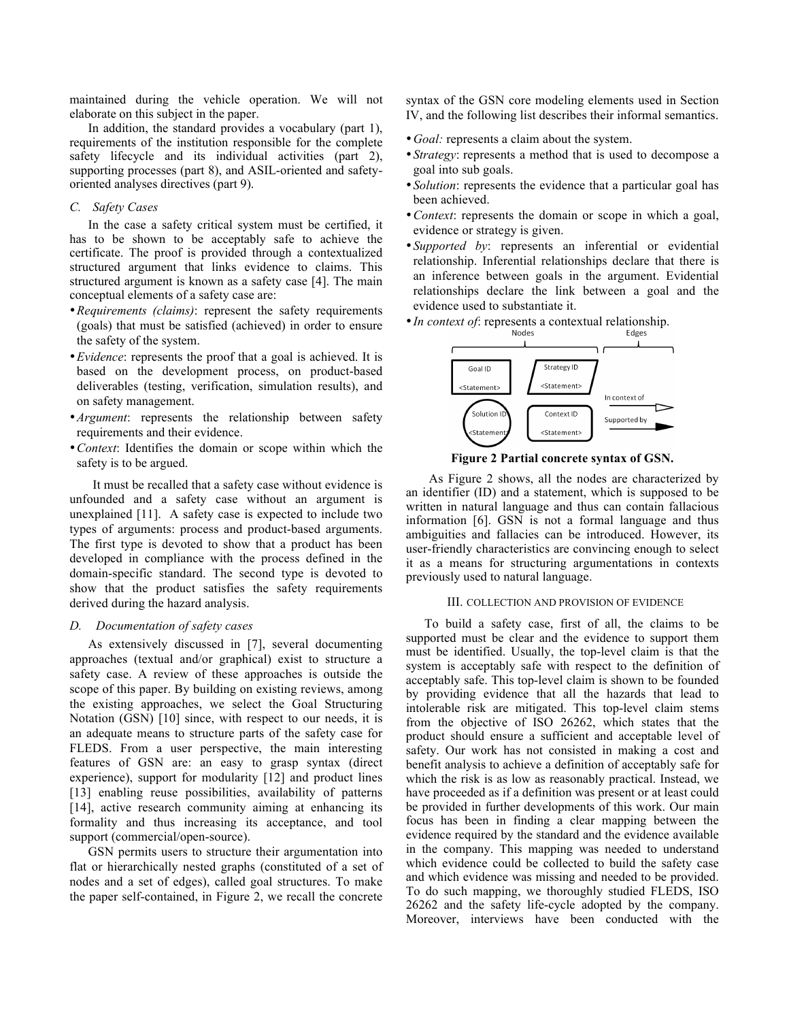maintained during the vehicle operation. We will not elaborate on this subject in the paper.

In addition, the standard provides a vocabulary (part 1), requirements of the institution responsible for the complete safety lifecycle and its individual activities (part 2), supporting processes (part 8), and ASIL-oriented and safetyoriented analyses directives (part 9).

# *C. Safety Cases*

In the case a safety critical system must be certified, it has to be shown to be acceptably safe to achieve the certificate. The proof is provided through a contextualized structured argument that links evidence to claims. This structured argument is known as a safety case [4]. The main conceptual elements of a safety case are:

- •*Requirements (claims)*: represent the safety requirements (goals) that must be satisfied (achieved) in order to ensure the safety of the system.
- •*Evidence*: represents the proof that a goal is achieved. It is based on the development process, on product-based deliverables (testing, verification, simulation results), and on safety management.
- •*Argument*: represents the relationship between safety requirements and their evidence.
- •*Context*: Identifies the domain or scope within which the safety is to be argued.

It must be recalled that a safety case without evidence is unfounded and a safety case without an argument is unexplained [11]. A safety case is expected to include two types of arguments: process and product-based arguments. The first type is devoted to show that a product has been developed in compliance with the process defined in the domain-specific standard. The second type is devoted to show that the product satisfies the safety requirements derived during the hazard analysis.

## *D. Documentation of safety cases*

As extensively discussed in [7], several documenting approaches (textual and/or graphical) exist to structure a safety case. A review of these approaches is outside the scope of this paper. By building on existing reviews, among the existing approaches, we select the Goal Structuring Notation (GSN) [10] since, with respect to our needs, it is an adequate means to structure parts of the safety case for FLEDS. From a user perspective, the main interesting features of GSN are: an easy to grasp syntax (direct experience), support for modularity [12] and product lines [13] enabling reuse possibilities, availability of patterns [14], active research community aiming at enhancing its formality and thus increasing its acceptance, and tool support (commercial/open-source).

GSN permits users to structure their argumentation into flat or hierarchically nested graphs (constituted of a set of nodes and a set of edges), called goal structures. To make the paper self-contained, in Figure 2, we recall the concrete

syntax of the GSN core modeling elements used in Section IV, and the following list describes their informal semantics.

- *Goal:* represents a claim about the system.
- •*Strategy*: represents a method that is used to decompose a goal into sub goals.
- •*Solution*: represents the evidence that a particular goal has been achieved.
- •*Context*: represents the domain or scope in which a goal, evidence or strategy is given.
- •*Supported by*: represents an inferential or evidential relationship. Inferential relationships declare that there is an inference between goals in the argument. Evidential relationships declare the link between a goal and the evidence used to substantiate it.



**Figure 2 Partial concrete syntax of GSN.**

As Figure 2 shows, all the nodes are characterized by an identifier (ID) and a statement, which is supposed to be written in natural language and thus can contain fallacious information [6]. GSN is not a formal language and thus ambiguities and fallacies can be introduced. However, its user-friendly characteristics are convincing enough to select it as a means for structuring argumentations in contexts previously used to natural language.

#### III. COLLECTION AND PROVISION OF EVIDENCE

To build a safety case, first of all, the claims to be supported must be clear and the evidence to support them must be identified. Usually, the top-level claim is that the system is acceptably safe with respect to the definition of acceptably safe. This top-level claim is shown to be founded by providing evidence that all the hazards that lead to intolerable risk are mitigated. This top-level claim stems from the objective of ISO 26262, which states that the product should ensure a sufficient and acceptable level of safety. Our work has not consisted in making a cost and benefit analysis to achieve a definition of acceptably safe for which the risk is as low as reasonably practical. Instead, we have proceeded as if a definition was present or at least could be provided in further developments of this work. Our main focus has been in finding a clear mapping between the evidence required by the standard and the evidence available in the company. This mapping was needed to understand which evidence could be collected to build the safety case and which evidence was missing and needed to be provided. To do such mapping, we thoroughly studied FLEDS, ISO 26262 and the safety life-cycle adopted by the company. Moreover, interviews have been conducted with the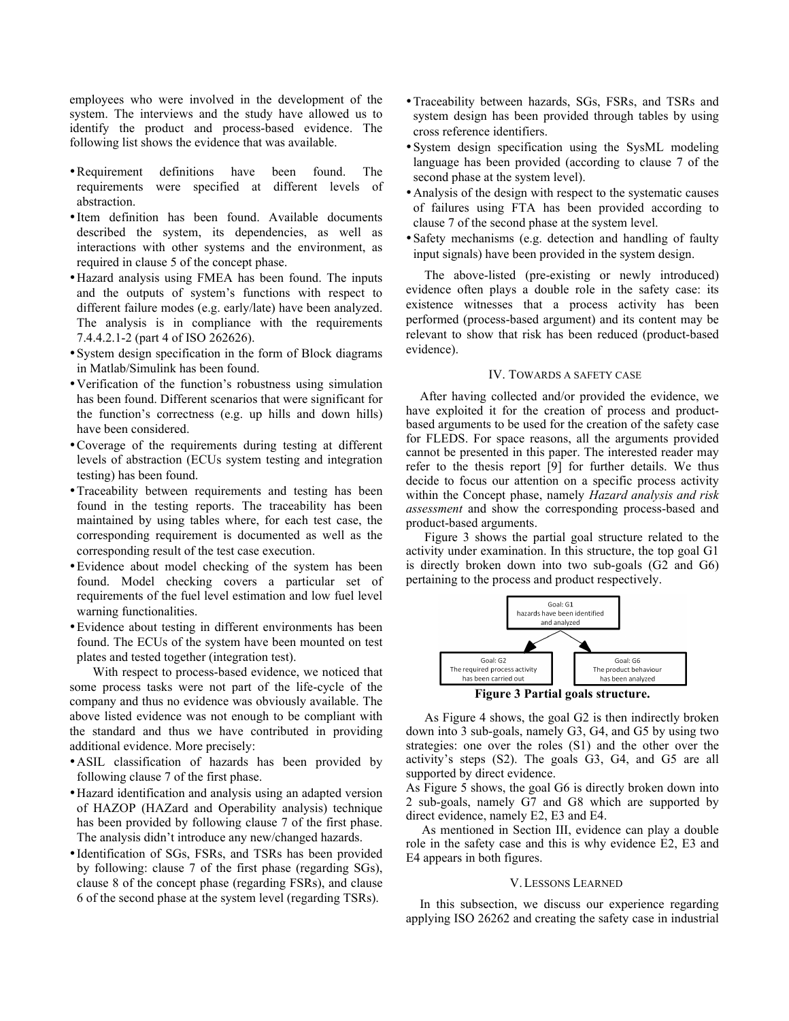employees who were involved in the development of the system. The interviews and the study have allowed us to identify the product and process-based evidence. The following list shows the evidence that was available.

- •Requirement definitions have been found. The requirements were specified at different levels of abstraction.
- •Item definition has been found. Available documents described the system, its dependencies, as well as interactions with other systems and the environment, as required in clause 5 of the concept phase.
- •Hazard analysis using FMEA has been found. The inputs and the outputs of system's functions with respect to different failure modes (e.g. early/late) have been analyzed. The analysis is in compliance with the requirements 7.4.4.2.1-2 (part 4 of ISO 262626).
- •System design specification in the form of Block diagrams in Matlab/Simulink has been found.
- •Verification of the function's robustness using simulation has been found. Different scenarios that were significant for the function's correctness (e.g. up hills and down hills) have been considered.
- •Coverage of the requirements during testing at different levels of abstraction (ECUs system testing and integration testing) has been found.
- •Traceability between requirements and testing has been found in the testing reports. The traceability has been maintained by using tables where, for each test case, the corresponding requirement is documented as well as the corresponding result of the test case execution.
- •Evidence about model checking of the system has been found. Model checking covers a particular set of requirements of the fuel level estimation and low fuel level warning functionalities.
- •Evidence about testing in different environments has been found. The ECUs of the system have been mounted on test plates and tested together (integration test).

With respect to process-based evidence, we noticed that some process tasks were not part of the life-cycle of the company and thus no evidence was obviously available. The above listed evidence was not enough to be compliant with the standard and thus we have contributed in providing additional evidence. More precisely:

- •ASIL classification of hazards has been provided by following clause 7 of the first phase.
- •Hazard identification and analysis using an adapted version of HAZOP (HAZard and Operability analysis) technique has been provided by following clause 7 of the first phase. The analysis didn't introduce any new/changed hazards.
- •Identification of SGs, FSRs, and TSRs has been provided by following: clause 7 of the first phase (regarding SGs), clause 8 of the concept phase (regarding FSRs), and clause 6 of the second phase at the system level (regarding TSRs).
- •Traceability between hazards, SGs, FSRs, and TSRs and system design has been provided through tables by using cross reference identifiers.
- •System design specification using the SysML modeling language has been provided (according to clause 7 of the second phase at the system level).
- •Analysis of the design with respect to the systematic causes of failures using FTA has been provided according to clause 7 of the second phase at the system level.
- •Safety mechanisms (e.g. detection and handling of faulty input signals) have been provided in the system design.

The above-listed (pre-existing or newly introduced) evidence often plays a double role in the safety case: its existence witnesses that a process activity has been performed (process-based argument) and its content may be relevant to show that risk has been reduced (product-based evidence).

## IV. TOWARDS A SAFETY CASE

After having collected and/or provided the evidence, we have exploited it for the creation of process and productbased arguments to be used for the creation of the safety case for FLEDS. For space reasons, all the arguments provided cannot be presented in this paper. The interested reader may refer to the thesis report [9] for further details. We thus decide to focus our attention on a specific process activity within the Concept phase, namely *Hazard analysis and risk assessment* and show the corresponding process-based and product-based arguments.

Figure 3 shows the partial goal structure related to the activity under examination. In this structure, the top goal G1 is directly broken down into two sub-goals (G2 and G6) pertaining to the process and product respectively.



As Figure 4 shows, the goal G2 is then indirectly broken down into 3 sub-goals, namely G3, G4, and G5 by using two strategies: one over the roles (S1) and the other over the activity's steps (S2). The goals G3, G4, and G5 are all supported by direct evidence.

As Figure 5 shows, the goal G6 is directly broken down into 2 sub-goals, namely G7 and G8 which are supported by direct evidence, namely E2, E3 and E4.

 As mentioned in Section III, evidence can play a double role in the safety case and this is why evidence E2, E3 and E4 appears in both figures.

#### V.LESSONS LEARNED

In this subsection, we discuss our experience regarding applying ISO 26262 and creating the safety case in industrial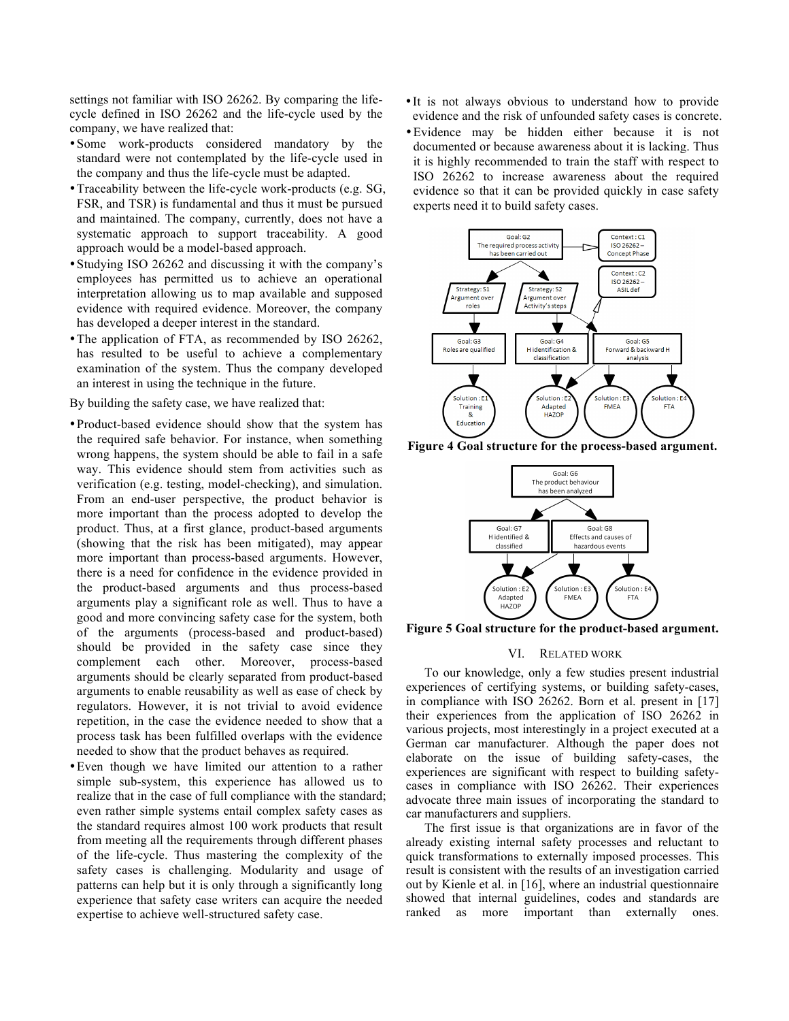settings not familiar with ISO 26262. By comparing the lifecycle defined in ISO 26262 and the life-cycle used by the company, we have realized that:

- •Some work-products considered mandatory by the standard were not contemplated by the life-cycle used in the company and thus the life-cycle must be adapted.
- •Traceability between the life-cycle work-products (e.g. SG, FSR, and TSR) is fundamental and thus it must be pursued and maintained. The company, currently, does not have a systematic approach to support traceability. A good approach would be a model-based approach.
- •Studying ISO 26262 and discussing it with the company's employees has permitted us to achieve an operational interpretation allowing us to map available and supposed evidence with required evidence. Moreover, the company has developed a deeper interest in the standard.
- The application of FTA, as recommended by ISO 26262, has resulted to be useful to achieve a complementary examination of the system. Thus the company developed an interest in using the technique in the future.

By building the safety case, we have realized that:

- •Product-based evidence should show that the system has the required safe behavior. For instance, when something wrong happens, the system should be able to fail in a safe way. This evidence should stem from activities such as verification (e.g. testing, model-checking), and simulation. From an end-user perspective, the product behavior is more important than the process adopted to develop the product. Thus, at a first glance, product-based arguments (showing that the risk has been mitigated), may appear more important than process-based arguments. However, there is a need for confidence in the evidence provided in the product-based arguments and thus process-based arguments play a significant role as well. Thus to have a good and more convincing safety case for the system, both of the arguments (process-based and product-based) should be provided in the safety case since they complement each other. Moreover, process-based arguments should be clearly separated from product-based arguments to enable reusability as well as ease of check by regulators. However, it is not trivial to avoid evidence repetition, in the case the evidence needed to show that a process task has been fulfilled overlaps with the evidence needed to show that the product behaves as required.
- •Even though we have limited our attention to a rather simple sub-system, this experience has allowed us to realize that in the case of full compliance with the standard; even rather simple systems entail complex safety cases as the standard requires almost 100 work products that result from meeting all the requirements through different phases of the life-cycle. Thus mastering the complexity of the safety cases is challenging. Modularity and usage of patterns can help but it is only through a significantly long experience that safety case writers can acquire the needed expertise to achieve well-structured safety case.
- •It is not always obvious to understand how to provide evidence and the risk of unfounded safety cases is concrete.
- •Evidence may be hidden either because it is not documented or because awareness about it is lacking. Thus it is highly recommended to train the staff with respect to ISO 26262 to increase awareness about the required evidence so that it can be provided quickly in case safety experts need it to build safety cases.



**Figure 4 Goal structure for the process-based argument.**



**Figure 5 Goal structure for the product-based argument.**

### VI. RELATED WORK

To our knowledge, only a few studies present industrial experiences of certifying systems, or building safety-cases, in compliance with ISO 26262. Born et al. present in [17] their experiences from the application of ISO 26262 in various projects, most interestingly in a project executed at a German car manufacturer. Although the paper does not elaborate on the issue of building safety-cases, the experiences are significant with respect to building safetycases in compliance with ISO 26262. Their experiences advocate three main issues of incorporating the standard to car manufacturers and suppliers.

The first issue is that organizations are in favor of the already existing internal safety processes and reluctant to quick transformations to externally imposed processes. This result is consistent with the results of an investigation carried out by Kienle et al. in [16], where an industrial questionnaire showed that internal guidelines, codes and standards are ranked as more important than externally ones.